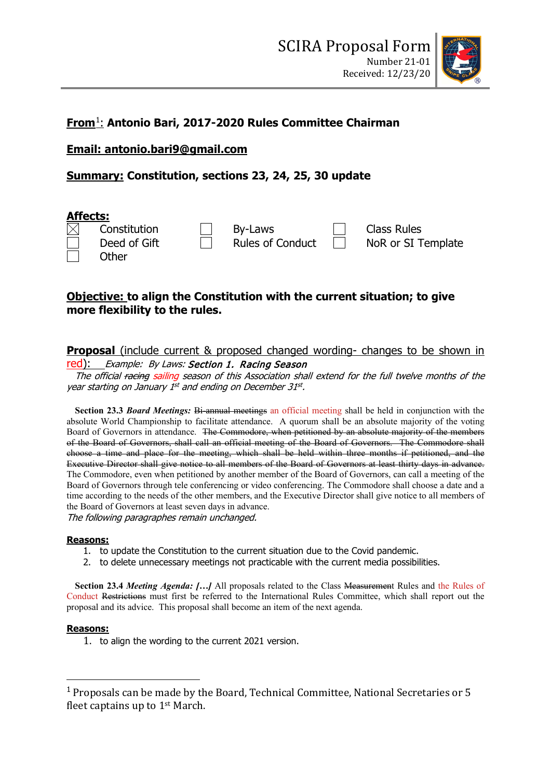

# **From**[1](#page-0-0): **Antonio Bari, 2017-2020 Rules Committee Chairman**

**Email: antonio.bari9@gmail.com**

# **Summary: Constitution, sections 23, 24, 25, 30 update**



## **Objective: to align the Constitution with the current situation; to give more flexibility to the rules.**

# **Proposal** (include current & proposed changed wording- changes to be shown in

## red): Example: By Laws: Section 1. Racing Season

The official racing sailing season of this Association shall extend for the full twelve months of the year starting on January 1<sup>st</sup> and ending on December 31st.

**Section 23.3** *Board Meetings:* Bi-annual meetings an official meeting shall be held in conjunction with the absolute World Championship to facilitate attendance.A quorum shall be an absolute majority of the voting Board of Governors in attendance. The Commodore, when petitioned by an absolute majority of the members of the Board of Governors, shall call an official meeting of the Board of Governors. The Commodore shall choose a time and place for the meeting, which shall be held within three months if petitioned, and the Executive Director shall give notice to all members of the Board of Governors at least thirty days in advance. The Commodore, even when petitioned by another member of the Board of Governors, can call a meeting of the Board of Governors through tele conferencing or video conferencing. The Commodore shall choose a date and a time according to the needs of the other members, and the Executive Director shall give notice to all members of the Board of Governors at least seven days in advance. The following paragraphes remain unchanged.

## **Reasons:**

- 1. to update the Constitution to the current situation due to the Covid pandemic.
- 2. to delete unnecessary meetings not practicable with the current media possibilities.

**Section 23.4** *Meeting Agenda: […]* All proposals related to the Class Measurement Rules and the Rules of Conduct Restrictions must first be referred to the International Rules Committee, which shall report out the proposal and its advice. This proposal shall become an item of the next agenda.

## **Reasons:**

1. to align the wording to the current 2021 version.

<span id="page-0-0"></span><sup>1</sup> Proposals can be made by the Board, Technical Committee, National Secretaries or 5 fleet captains up to 1st March.